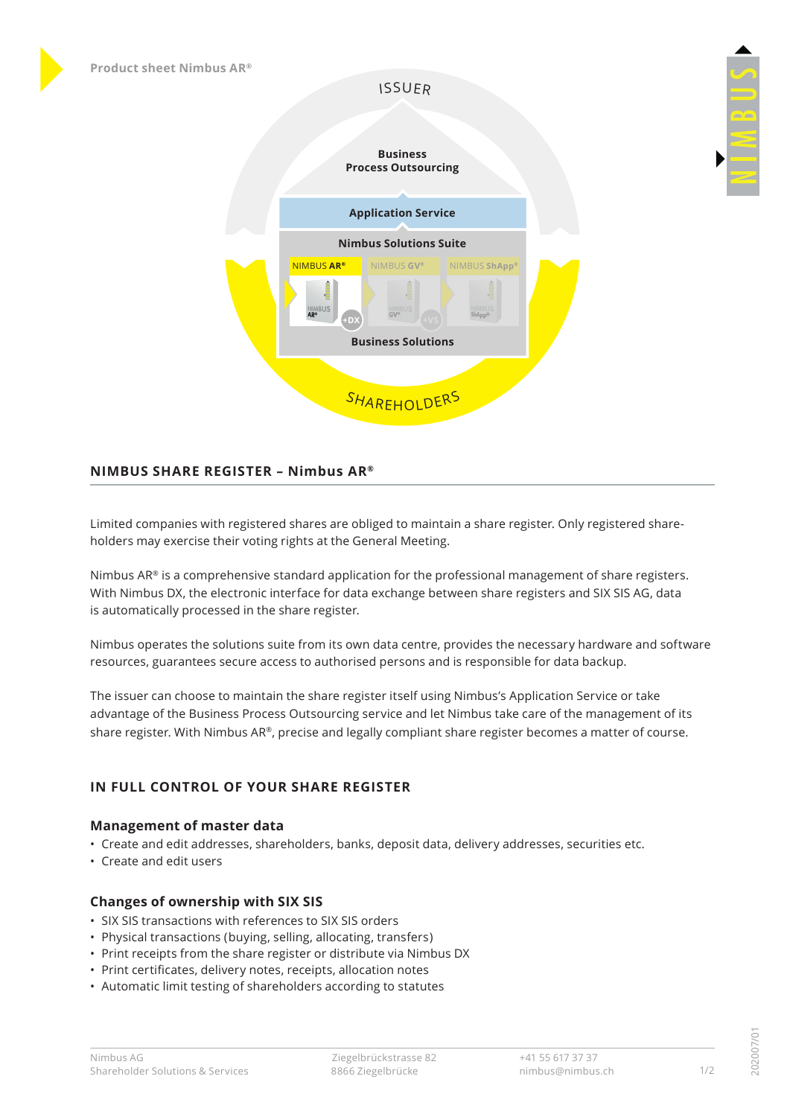# ISSUER



# **NIMBUS SHARE REGISTER – Nimbus AR®**

Limited companies with registered shares are obliged to maintain a share register. Only registered shareholders may exercise their voting rights at the General Meeting.

Nimbus  $AR<sup>®</sup>$  is a comprehensive standard application for the professional management of share registers. With Nimbus DX, the electronic interface for data exchange between share registers and SIX SIS AG, data is automatically processed in the share register.

Nimbus operates the solutions suite from its own data centre, provides the necessary hardware and software resources, guarantees secure access to authorised persons and is responsible for data backup.

The issuer can choose to maintain the share register itself using Nimbus's Application Service or take advantage of the Business Process Outsourcing service and let Nimbus take care of the management of its share register. With Nimbus AR®, precise and legally compliant share register becomes a matter of course.

## **IN FULL CONTROL OF YOUR SHARE REGISTER**

## **Management of master data**

- Create and edit addresses, shareholders, banks, deposit data, delivery addresses, securities etc.
- Create and edit users

## **Changes of ownership with SIX SIS**

- SIX SIS transactions with references to SIX SIS orders
- Physical transactions (buying, selling, allocating, transfers)
- Print receipts from the share register or distribute via Nimbus DX
- Print certificates, delivery notes, receipts, allocation notes
- Automatic limit testing of shareholders according to statutes

202007/01

02007/0